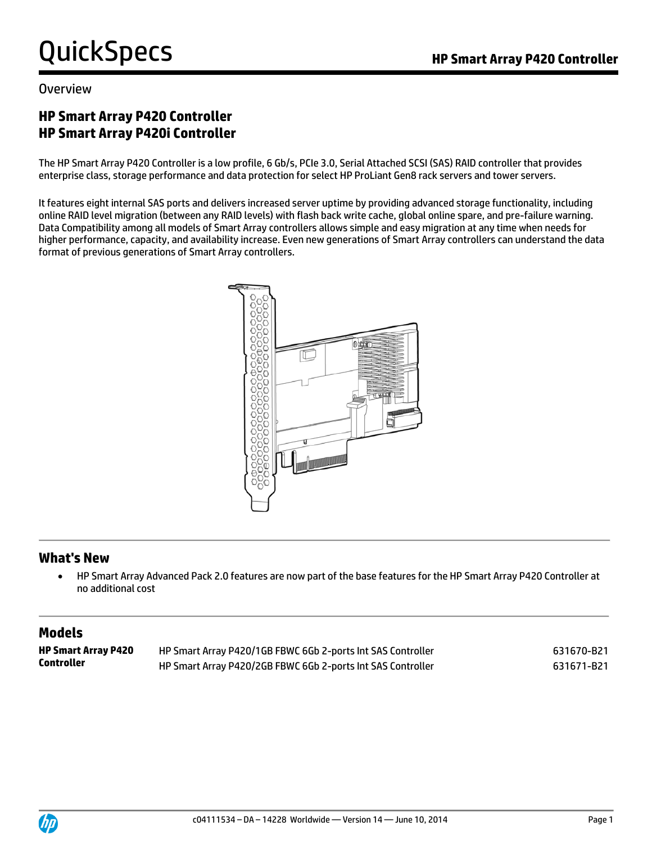#### Overview

### **HP Smart Array P420 Controller HP Smart Array P420i Controller**

The HP Smart Array P420 Controller is a low profile, 6 Gb/s, PCIe 3.0, Serial Attached SCSI (SAS) RAID controller that provides enterprise class, storage performance and data protection for select HP ProLiant Gen8 rack servers and tower servers.

It features eight internal SAS ports and delivers increased server uptime by providing advanced storage functionality, including online RAID level migration (between any RAID levels) with flash back write cache, global online spare, and pre-failure warning. Data Compatibility among all models of Smart Array controllers allows simple and easy migration at any time when needs for higher performance, capacity, and availability increase. Even new generations of Smart Array controllers can understand the data format of previous generations of Smart Array controllers.



#### **What's New**

 HP Smart Array Advanced Pack 2.0 features are now part of the base features for the HP Smart Array P420 Controller at no additional cost

#### **Models**

| <b>HP Smart Array P420</b> | HP Smart Array P420/1GB FBWC 6Gb 2-ports Int SAS Controller | 631670-B21 |
|----------------------------|-------------------------------------------------------------|------------|
| Controller                 | HP Smart Array P420/2GB FBWC 6Gb 2-ports Int SAS Controller | 631671-B21 |

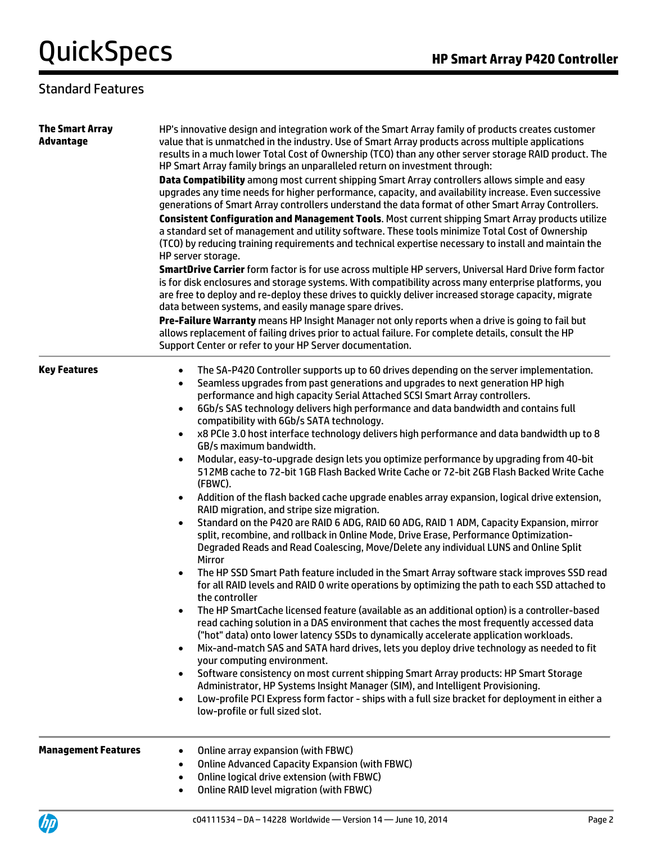| <b>The Smart Array</b><br><b>Advantage</b> | HP's innovative design and integration work of the Smart Array family of products creates customer<br>value that is unmatched in the industry. Use of Smart Array products across multiple applications<br>results in a much lower Total Cost of Ownership (TCO) than any other server storage RAID product. The<br>HP Smart Array family brings an unparalleled return on investment through:<br>Data Compatibility among most current shipping Smart Array controllers allows simple and easy<br>upgrades any time needs for higher performance, capacity, and availability increase. Even successive<br>generations of Smart Array controllers understand the data format of other Smart Array Controllers.<br>Consistent Configuration and Management Tools. Most current shipping Smart Array products utilize<br>a standard set of management and utility software. These tools minimize Total Cost of Ownership<br>(TCO) by reducing training requirements and technical expertise necessary to install and maintain the<br>HP server storage.<br>SmartDrive Carrier form factor is for use across multiple HP servers, Universal Hard Drive form factor<br>is for disk enclosures and storage systems. With compatibility across many enterprise platforms, you<br>are free to deploy and re-deploy these drives to quickly deliver increased storage capacity, migrate<br>data between systems, and easily manage spare drives.<br>Pre-Failure Warranty means HP Insight Manager not only reports when a drive is going to fail but<br>allows replacement of failing drives prior to actual failure. For complete details, consult the HP<br>Support Center or refer to your HP Server documentation.                                                                                                                                                                                                                                                                                                                                                                                                                                                                                              |
|--------------------------------------------|-------------------------------------------------------------------------------------------------------------------------------------------------------------------------------------------------------------------------------------------------------------------------------------------------------------------------------------------------------------------------------------------------------------------------------------------------------------------------------------------------------------------------------------------------------------------------------------------------------------------------------------------------------------------------------------------------------------------------------------------------------------------------------------------------------------------------------------------------------------------------------------------------------------------------------------------------------------------------------------------------------------------------------------------------------------------------------------------------------------------------------------------------------------------------------------------------------------------------------------------------------------------------------------------------------------------------------------------------------------------------------------------------------------------------------------------------------------------------------------------------------------------------------------------------------------------------------------------------------------------------------------------------------------------------------------------------------------------------------------------------------------------------------------------------------------------------------------------------------------------------------------------------------------------------------------------------------------------------------------------------------------------------------------------------------------------------------------------------------------------------------------------------------------------------------------------------------------|
| <b>Key Features</b>                        | The SA-P420 Controller supports up to 60 drives depending on the server implementation.<br>$\bullet$<br>Seamless upgrades from past generations and upgrades to next generation HP high<br>$\bullet$<br>performance and high capacity Serial Attached SCSI Smart Array controllers.<br>6Gb/s SAS technology delivers high performance and data bandwidth and contains full<br>$\bullet$<br>compatibility with 6Gb/s SATA technology.<br>x8 PCIe 3.0 host interface technology delivers high performance and data bandwidth up to 8<br>GB/s maximum bandwidth.<br>Modular, easy-to-upgrade design lets you optimize performance by upgrading from 40-bit<br>512MB cache to 72-bit 1GB Flash Backed Write Cache or 72-bit 2GB Flash Backed Write Cache<br>(FBWC).<br>Addition of the flash backed cache upgrade enables array expansion, logical drive extension,<br>RAID migration, and stripe size migration.<br>Standard on the P420 are RAID 6 ADG, RAID 60 ADG, RAID 1 ADM, Capacity Expansion, mirror<br>$\bullet$<br>split, recombine, and rollback in Online Mode, Drive Erase, Performance Optimization-<br>Degraded Reads and Read Coalescing, Move/Delete any individual LUNS and Online Split<br>Mirror<br>The HP SSD Smart Path feature included in the Smart Array software stack improves SSD read<br>for all RAID levels and RAID 0 write operations by optimizing the path to each SSD attached to<br>the controller<br>The HP SmartCache licensed feature (available as an additional option) is a controller-based<br>read caching solution in a DAS environment that caches the most frequently accessed data<br>("hot" data) onto lower latency SSDs to dynamically accelerate application workloads.<br>Mix-and-match SAS and SATA hard drives, lets you deploy drive technology as needed to fit<br>$\bullet$<br>your computing environment.<br>Software consistency on most current shipping Smart Array products: HP Smart Storage<br>$\bullet$<br>Administrator, HP Systems Insight Manager (SIM), and Intelligent Provisioning.<br>Low-profile PCI Express form factor - ships with a full size bracket for deployment in either a<br>$\bullet$<br>low-profile or full sized slot. |
| <b>Management Features</b>                 | Online array expansion (with FBWC)<br><b>Online Advanced Capacity Expansion (with FBWC)</b><br>Online logical drive extension (with FBWC)<br>$\bullet$<br><b>Online RAID level migration (with FBWC)</b><br>$\bullet$                                                                                                                                                                                                                                                                                                                                                                                                                                                                                                                                                                                                                                                                                                                                                                                                                                                                                                                                                                                                                                                                                                                                                                                                                                                                                                                                                                                                                                                                                                                                                                                                                                                                                                                                                                                                                                                                                                                                                                                       |

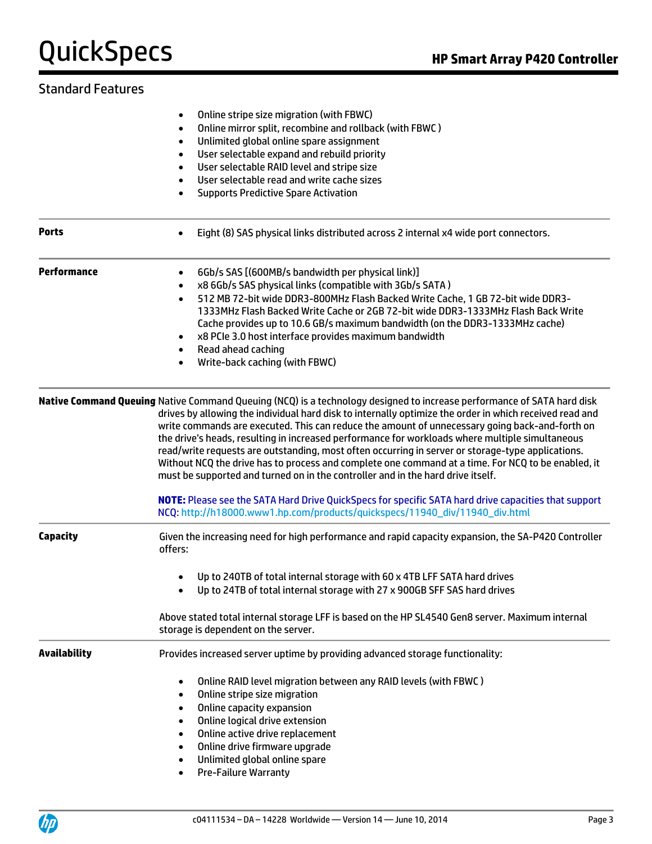|                     | Online stripe size migration (with FBWC)<br>$\bullet$<br>Online mirror split, recombine and rollback (with FBWC)<br>٠<br>Unlimited global online spare assignment<br>$\bullet$<br>User selectable expand and rebuild priority<br>$\bullet$<br>User selectable RAID level and stripe size<br>٠<br>User selectable read and write cache sizes<br>$\bullet$<br><b>Supports Predictive Spare Activation</b><br>$\bullet$                                                                                                                                                                                                                                                                                                                 |
|---------------------|--------------------------------------------------------------------------------------------------------------------------------------------------------------------------------------------------------------------------------------------------------------------------------------------------------------------------------------------------------------------------------------------------------------------------------------------------------------------------------------------------------------------------------------------------------------------------------------------------------------------------------------------------------------------------------------------------------------------------------------|
| <b>Ports</b>        | Eight (8) SAS physical links distributed across 2 internal x4 wide port connectors.<br>$\bullet$                                                                                                                                                                                                                                                                                                                                                                                                                                                                                                                                                                                                                                     |
| Performance         | 6Gb/s SAS [(600MB/s bandwidth per physical link)]<br>$\bullet$<br>x8 6Gb/s SAS physical links (compatible with 3Gb/s SATA)<br>$\bullet$<br>512 MB 72-bit wide DDR3-800MHz Flash Backed Write Cache, 1 GB 72-bit wide DDR3-<br>$\bullet$<br>1333MHz Flash Backed Write Cache or 2GB 72-bit wide DDR3-1333MHz Flash Back Write<br>Cache provides up to 10.6 GB/s maximum bandwidth (on the DDR3-1333MHz cache)<br>x8 PCIe 3.0 host interface provides maximum bandwidth<br>Read ahead caching<br>$\bullet$<br>Write-back caching (with FBWC)<br>$\bullet$                                                                                                                                                                              |
|                     | Native Command Queuing Native Command Queuing (NCQ) is a technology designed to increase performance of SATA hard disk<br>drives by allowing the individual hard disk to internally optimize the order in which received read and<br>write commands are executed. This can reduce the amount of unnecessary going back-and-forth on<br>the drive's heads, resulting in increased performance for workloads where multiple simultaneous<br>read/write requests are outstanding, most often occurring in server or storage-type applications.<br>Without NCQ the drive has to process and complete one command at a time. For NCQ to be enabled, it<br>must be supported and turned on in the controller and in the hard drive itself. |
|                     | NOTE: Please see the SATA Hard Drive QuickSpecs for specific SATA hard drive capacities that support<br>NCQ: http://h18000.www1.hp.com/products/quickspecs/11940_div/11940_div.html                                                                                                                                                                                                                                                                                                                                                                                                                                                                                                                                                  |
| <b>Capacity</b>     | Given the increasing need for high performance and rapid capacity expansion, the SA-P420 Controller<br>offers:<br>Up to 240TB of total internal storage with 60 x 4TB LFF SATA hard drives                                                                                                                                                                                                                                                                                                                                                                                                                                                                                                                                           |
|                     | Up to 24TB of total internal storage with 27 x 900GB SFF SAS hard drives<br>$\bullet$<br>Above stated total internal storage LFF is based on the HP SL4540 Gen8 server. Maximum internal<br>storage is dependent on the server.                                                                                                                                                                                                                                                                                                                                                                                                                                                                                                      |
| <b>Availability</b> | Provides increased server uptime by providing advanced storage functionality:                                                                                                                                                                                                                                                                                                                                                                                                                                                                                                                                                                                                                                                        |
|                     | Online RAID level migration between any RAID levels (with FBWC)<br>$\bullet$<br>Online stripe size migration<br>$\bullet$<br>Online capacity expansion<br>$\bullet$<br>Online logical drive extension<br>$\bullet$<br>Online active drive replacement<br>$\bullet$<br>Online drive firmware upgrade<br>$\bullet$<br>Unlimited global online spare<br>$\bullet$<br><b>Pre-Failure Warranty</b><br>$\bullet$                                                                                                                                                                                                                                                                                                                           |

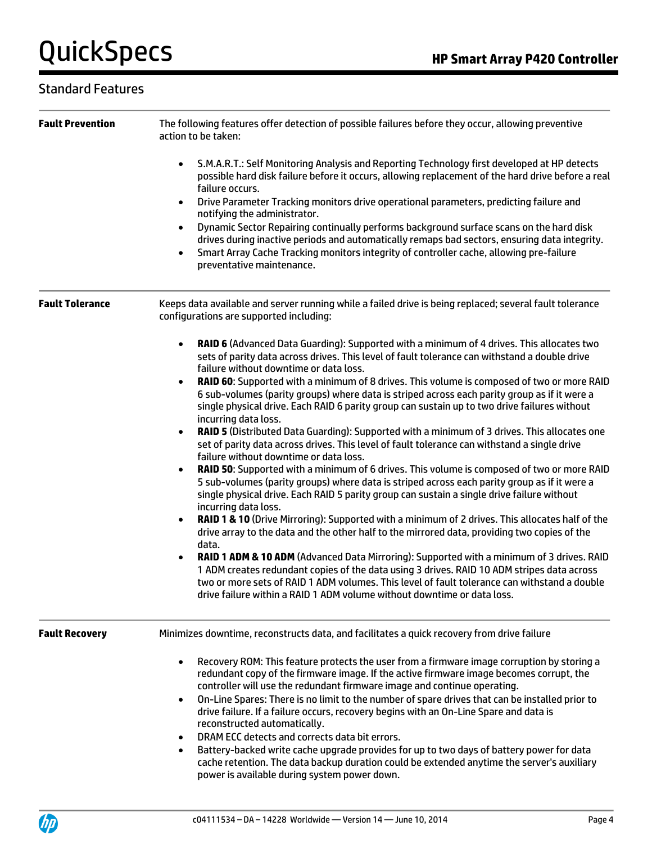| <b>Fault Prevention</b> | The following features offer detection of possible failures before they occur, allowing preventive<br>action to be taken:                                                                                                                                                                                                                                                                                                                                                                                                                                                                                                                                                                                                                                                                                                                                                                                                                                                                                                                                                                                                                                                                                                                                                                                                                                                                                                                                                                                                                                                                                                                                                                                               |  |  |
|-------------------------|-------------------------------------------------------------------------------------------------------------------------------------------------------------------------------------------------------------------------------------------------------------------------------------------------------------------------------------------------------------------------------------------------------------------------------------------------------------------------------------------------------------------------------------------------------------------------------------------------------------------------------------------------------------------------------------------------------------------------------------------------------------------------------------------------------------------------------------------------------------------------------------------------------------------------------------------------------------------------------------------------------------------------------------------------------------------------------------------------------------------------------------------------------------------------------------------------------------------------------------------------------------------------------------------------------------------------------------------------------------------------------------------------------------------------------------------------------------------------------------------------------------------------------------------------------------------------------------------------------------------------------------------------------------------------------------------------------------------------|--|--|
|                         | S.M.A.R.T.: Self Monitoring Analysis and Reporting Technology first developed at HP detects<br>$\bullet$<br>possible hard disk failure before it occurs, allowing replacement of the hard drive before a real<br>failure occurs.<br>Drive Parameter Tracking monitors drive operational parameters, predicting failure and<br>$\bullet$<br>notifying the administrator.<br>Dynamic Sector Repairing continually performs background surface scans on the hard disk<br>$\bullet$<br>drives during inactive periods and automatically remaps bad sectors, ensuring data integrity.<br>Smart Array Cache Tracking monitors integrity of controller cache, allowing pre-failure<br>preventative maintenance.                                                                                                                                                                                                                                                                                                                                                                                                                                                                                                                                                                                                                                                                                                                                                                                                                                                                                                                                                                                                                |  |  |
| <b>Fault Tolerance</b>  | Keeps data available and server running while a failed drive is being replaced; several fault tolerance<br>configurations are supported including:                                                                                                                                                                                                                                                                                                                                                                                                                                                                                                                                                                                                                                                                                                                                                                                                                                                                                                                                                                                                                                                                                                                                                                                                                                                                                                                                                                                                                                                                                                                                                                      |  |  |
|                         | RAID 6 (Advanced Data Guarding): Supported with a minimum of 4 drives. This allocates two<br>$\bullet$<br>sets of parity data across drives. This level of fault tolerance can withstand a double drive<br>failure without downtime or data loss.<br>RAID 60: Supported with a minimum of 8 drives. This volume is composed of two or more RAID<br>6 sub-volumes (parity groups) where data is striped across each parity group as if it were a<br>single physical drive. Each RAID 6 parity group can sustain up to two drive failures without<br>incurring data loss.<br>RAID 5 (Distributed Data Guarding): Supported with a minimum of 3 drives. This allocates one<br>set of parity data across drives. This level of fault tolerance can withstand a single drive<br>failure without downtime or data loss.<br>RAID 50: Supported with a minimum of 6 drives. This volume is composed of two or more RAID<br>5 sub-volumes (parity groups) where data is striped across each parity group as if it were a<br>single physical drive. Each RAID 5 parity group can sustain a single drive failure without<br>incurring data loss.<br>RAID 1 & 10 (Drive Mirroring): Supported with a minimum of 2 drives. This allocates half of the<br>drive array to the data and the other half to the mirrored data, providing two copies of the<br>data.<br>RAID 1 ADM & 10 ADM (Advanced Data Mirroring): Supported with a minimum of 3 drives. RAID<br>1 ADM creates redundant copies of the data using 3 drives. RAID 10 ADM stripes data across<br>two or more sets of RAID 1 ADM volumes. This level of fault tolerance can withstand a double<br>drive failure within a RAID 1 ADM volume without downtime or data loss. |  |  |
| <b>Fault Recovery</b>   | Minimizes downtime, reconstructs data, and facilitates a quick recovery from drive failure                                                                                                                                                                                                                                                                                                                                                                                                                                                                                                                                                                                                                                                                                                                                                                                                                                                                                                                                                                                                                                                                                                                                                                                                                                                                                                                                                                                                                                                                                                                                                                                                                              |  |  |
|                         | Recovery ROM: This feature protects the user from a firmware image corruption by storing a<br>redundant copy of the firmware image. If the active firmware image becomes corrupt, the<br>controller will use the redundant firmware image and continue operating.<br>On-Line Spares: There is no limit to the number of spare drives that can be installed prior to<br>$\bullet$<br>drive failure. If a failure occurs, recovery begins with an On-Line Spare and data is<br>reconstructed automatically.<br>DRAM ECC detects and corrects data bit errors.<br>Battery-backed write cache upgrade provides for up to two days of battery power for data<br>$\bullet$<br>cache retention. The data backup duration could be extended anytime the server's auxiliary<br>power is available during system power down.                                                                                                                                                                                                                                                                                                                                                                                                                                                                                                                                                                                                                                                                                                                                                                                                                                                                                                      |  |  |

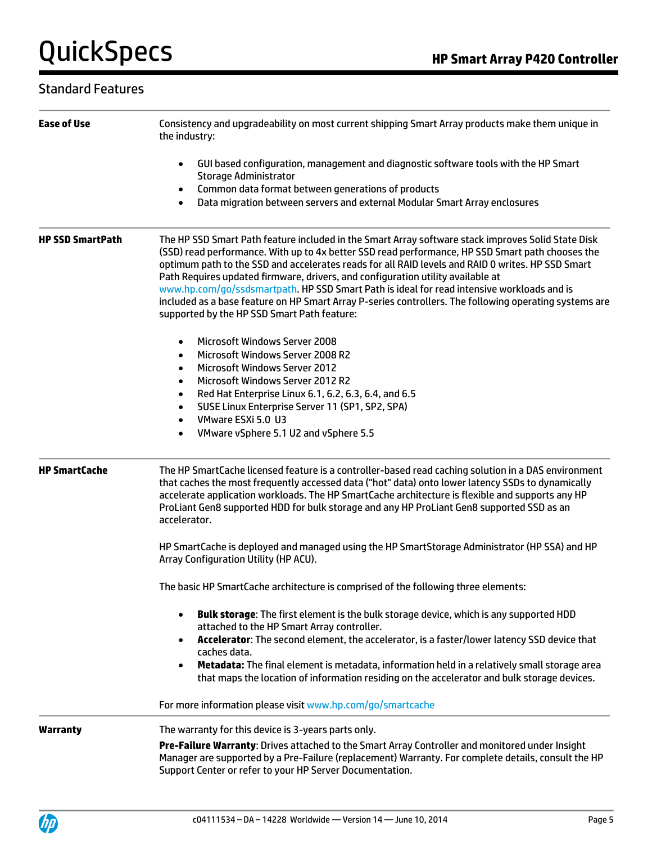| <b>Ease of Use</b>      | Consistency and upgradeability on most current shipping Smart Array products make them unique in<br>the industry:                                                                                                                                                                                                                                                                                                                                                                                                                                                                                                                                     |  |
|-------------------------|-------------------------------------------------------------------------------------------------------------------------------------------------------------------------------------------------------------------------------------------------------------------------------------------------------------------------------------------------------------------------------------------------------------------------------------------------------------------------------------------------------------------------------------------------------------------------------------------------------------------------------------------------------|--|
|                         | GUI based configuration, management and diagnostic software tools with the HP Smart<br>$\bullet$<br><b>Storage Administrator</b>                                                                                                                                                                                                                                                                                                                                                                                                                                                                                                                      |  |
|                         | Common data format between generations of products<br>$\bullet$<br>Data migration between servers and external Modular Smart Array enclosures<br>$\bullet$                                                                                                                                                                                                                                                                                                                                                                                                                                                                                            |  |
| <b>HP SSD SmartPath</b> | The HP SSD Smart Path feature included in the Smart Array software stack improves Solid State Disk<br>(SSD) read performance. With up to 4x better SSD read performance, HP SSD Smart path chooses the<br>optimum path to the SSD and accelerates reads for all RAID levels and RAID 0 writes. HP SSD Smart<br>Path Requires updated firmware, drivers, and configuration utility available at<br>www.hp.com/go/ssdsmartpath. HP SSD Smart Path is ideal for read intensive workloads and is<br>included as a base feature on HP Smart Array P-series controllers. The following operating systems are<br>supported by the HP SSD Smart Path feature: |  |
|                         | <b>Microsoft Windows Server 2008</b><br>$\bullet$<br>Microsoft Windows Server 2008 R2<br>$\bullet$<br><b>Microsoft Windows Server 2012</b><br>$\bullet$<br>Microsoft Windows Server 2012 R2<br>$\bullet$<br>Red Hat Enterprise Linux 6.1, 6.2, 6.3, 6.4, and 6.5<br>$\bullet$<br>SUSE Linux Enterprise Server 11 (SP1, SP2, SPA)<br>٠<br>VMware ESXi 5.0 U3<br>$\bullet$<br>VMware vSphere 5.1 U2 and vSphere 5.5<br>$\bullet$                                                                                                                                                                                                                        |  |
| <b>HP SmartCache</b>    | The HP SmartCache licensed feature is a controller-based read caching solution in a DAS environment<br>that caches the most frequently accessed data ("hot" data) onto lower latency SSDs to dynamically<br>accelerate application workloads. The HP SmartCache architecture is flexible and supports any HP<br>ProLiant Gen8 supported HDD for bulk storage and any HP ProLiant Gen8 supported SSD as an<br>accelerator.                                                                                                                                                                                                                             |  |
|                         | HP SmartCache is deployed and managed using the HP SmartStorage Administrator (HP SSA) and HP<br>Array Configuration Utility (HP ACU).                                                                                                                                                                                                                                                                                                                                                                                                                                                                                                                |  |
|                         | The basic HP SmartCache architecture is comprised of the following three elements:                                                                                                                                                                                                                                                                                                                                                                                                                                                                                                                                                                    |  |
|                         | Bulk storage: The first element is the bulk storage device, which is any supported HDD<br>attached to the HP Smart Array controller.<br>Accelerator: The second element, the accelerator, is a faster/lower latency SSD device that<br>caches data.<br>Metadata: The final element is metadata, information held in a relatively small storage area<br>that maps the location of information residing on the accelerator and bulk storage devices.                                                                                                                                                                                                    |  |
|                         | For more information please visit www.hp.com/go/smartcache                                                                                                                                                                                                                                                                                                                                                                                                                                                                                                                                                                                            |  |
| <b>Warranty</b>         | The warranty for this device is 3-years parts only.                                                                                                                                                                                                                                                                                                                                                                                                                                                                                                                                                                                                   |  |
|                         | Pre-Failure Warranty: Drives attached to the Smart Array Controller and monitored under Insight<br>Manager are supported by a Pre-Failure (replacement) Warranty. For complete details, consult the HP<br>Support Center or refer to your HP Server Documentation.                                                                                                                                                                                                                                                                                                                                                                                    |  |

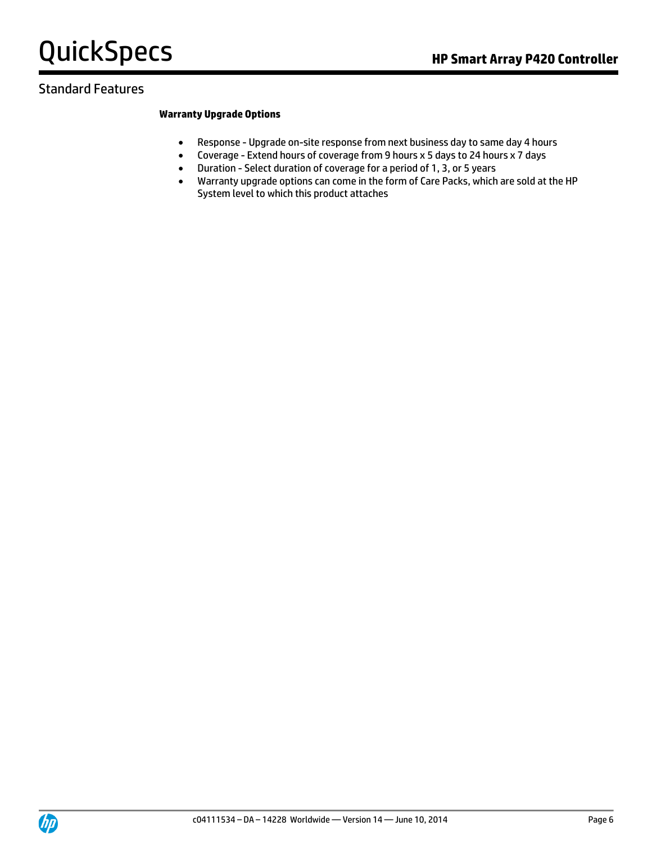### Standard Features

#### **Warranty Upgrade Options**

- Response Upgrade on-site response from next business day to same day 4 hours
- Coverage Extend hours of coverage from 9 hours x 5 days to 24 hours x 7 days
- Duration Select duration of coverage for a period of 1, 3, or 5 years
- Warranty upgrade options can come in the form of Care Packs, which are sold at the HP System level to which this product attaches

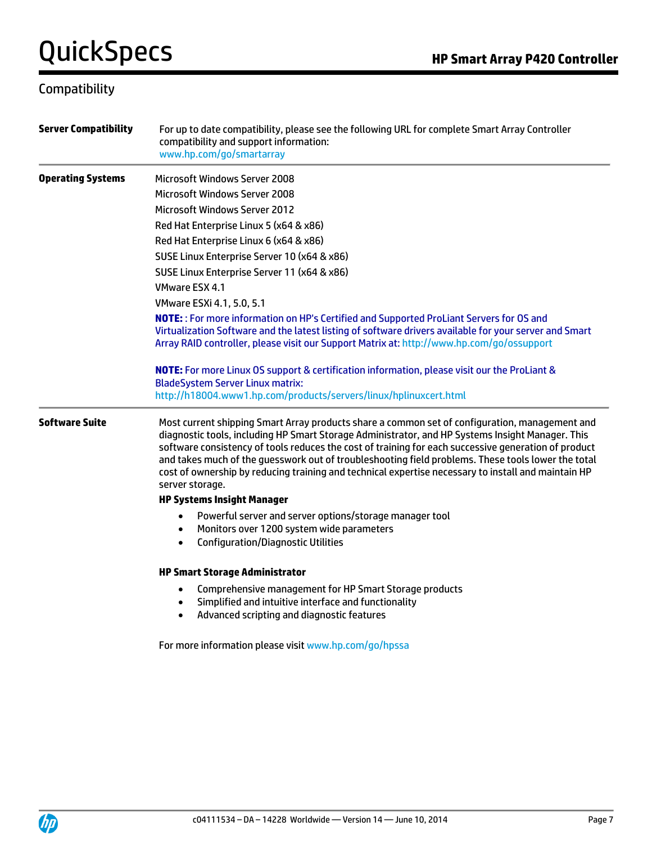### Compatibility

| <b>Server Compatibility</b> | For up to date compatibility, please see the following URL for complete Smart Array Controller<br>compatibility and support information:<br>www.hp.com/go/smartarray                                                                                                                                                                                                                                                                                                                                                                       |
|-----------------------------|--------------------------------------------------------------------------------------------------------------------------------------------------------------------------------------------------------------------------------------------------------------------------------------------------------------------------------------------------------------------------------------------------------------------------------------------------------------------------------------------------------------------------------------------|
| <b>Operating Systems</b>    | Microsoft Windows Server 2008                                                                                                                                                                                                                                                                                                                                                                                                                                                                                                              |
|                             | Microsoft Windows Server 2008                                                                                                                                                                                                                                                                                                                                                                                                                                                                                                              |
|                             | <b>Microsoft Windows Server 2012</b>                                                                                                                                                                                                                                                                                                                                                                                                                                                                                                       |
|                             | Red Hat Enterprise Linux 5 (x64 & x86)                                                                                                                                                                                                                                                                                                                                                                                                                                                                                                     |
|                             | Red Hat Enterprise Linux 6 (x64 & x86)                                                                                                                                                                                                                                                                                                                                                                                                                                                                                                     |
|                             | SUSE Linux Enterprise Server 10 (x64 & x86)                                                                                                                                                                                                                                                                                                                                                                                                                                                                                                |
|                             | SUSE Linux Enterprise Server 11 (x64 & x86)                                                                                                                                                                                                                                                                                                                                                                                                                                                                                                |
|                             | VMware ESX 4.1                                                                                                                                                                                                                                                                                                                                                                                                                                                                                                                             |
|                             | VMware ESXi 4.1, 5.0, 5.1                                                                                                                                                                                                                                                                                                                                                                                                                                                                                                                  |
|                             | NOTE: : For more information on HP's Certified and Supported ProLiant Servers for OS and<br>Virtualization Software and the latest listing of software drivers available for your server and Smart<br>Array RAID controller, please visit our Support Matrix at: http://www.hp.com/go/ossupport                                                                                                                                                                                                                                            |
|                             | NOTE: For more Linux OS support & certification information, please visit our the ProLiant &<br><b>BladeSystem Server Linux matrix:</b>                                                                                                                                                                                                                                                                                                                                                                                                    |
|                             | http://h18004.www1.hp.com/products/servers/linux/hplinuxcert.html                                                                                                                                                                                                                                                                                                                                                                                                                                                                          |
| <b>Software Suite</b>       | Most current shipping Smart Array products share a common set of configuration, management and<br>diagnostic tools, including HP Smart Storage Administrator, and HP Systems Insight Manager. This<br>software consistency of tools reduces the cost of training for each successive generation of product<br>and takes much of the guesswork out of troubleshooting field problems. These tools lower the total<br>cost of ownership by reducing training and technical expertise necessary to install and maintain HP<br>server storage. |
|                             | <b>HP Systems Insight Manager</b>                                                                                                                                                                                                                                                                                                                                                                                                                                                                                                          |
|                             | Powerful server and server options/storage manager tool<br>$\bullet$<br>Monitors over 1200 system wide parameters<br>$\bullet$<br><b>Configuration/Diagnostic Utilities</b><br>$\bullet$                                                                                                                                                                                                                                                                                                                                                   |
|                             | <b>HP Smart Storage Administrator</b>                                                                                                                                                                                                                                                                                                                                                                                                                                                                                                      |
|                             | Comprehensive management for HP Smart Storage products<br>$\bullet$<br>Simplified and intuitive interface and functionality<br>$\bullet$<br>Advanced scripting and diagnostic features<br>$\bullet$                                                                                                                                                                                                                                                                                                                                        |
|                             | For more information please visit www.hp.com/go/hpssa                                                                                                                                                                                                                                                                                                                                                                                                                                                                                      |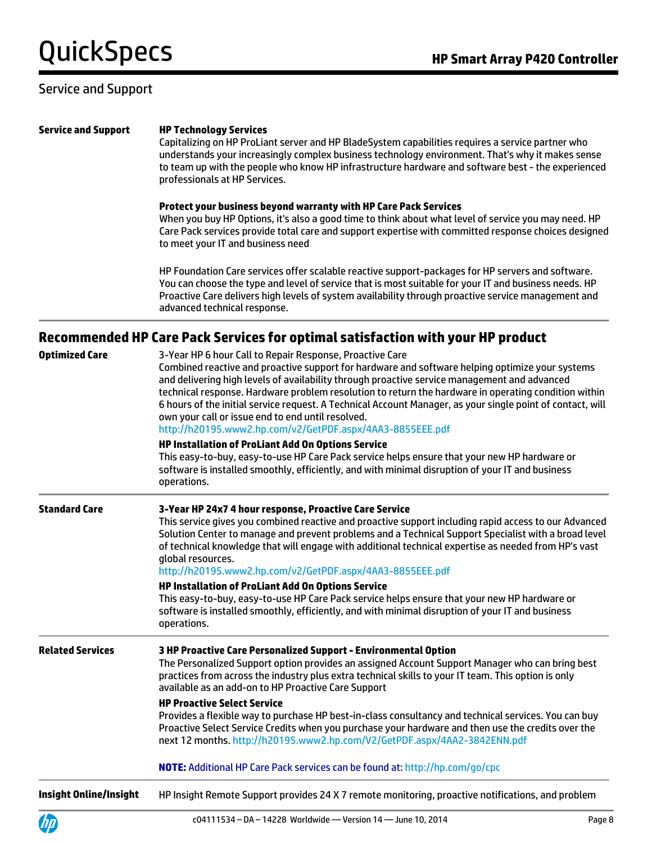#### Service and Support

#### **Service and Support HP Technology Services**

Capitalizing on HP ProLiant server and HP BladeSystem capabilities requires a service partner who understands your increasingly complex business technology environment. That's why it makes sense to team up with the people who know HP infrastructure hardware and software best - the experienced professionals at HP Services.

#### **Protect your business beyond warranty with HP Care Pack Services**

When you buy HP Options, it's also a good time to think about what level of service you may need. HP Care Pack services provide total care and support expertise with committed response choices designed to meet your IT and business need

HP Foundation Care services offer scalable reactive support-packages for HP servers and software. You can choose the type and level of service that is most suitable for your IT and business needs. HP Proactive Care delivers high levels of system availability through proactive service management and advanced technical response.

#### **Recommended HP Care Pack Services for optimal satisfaction with your HP product**

| <b>Optimized Care</b>         | 3-Year HP 6 hour Call to Repair Response, Proactive Care<br>Combined reactive and proactive support for hardware and software helping optimize your systems<br>and delivering high levels of availability through proactive service management and advanced<br>technical response. Hardware problem resolution to return the hardware in operating condition within<br>6 hours of the initial service request. A Technical Account Manager, as your single point of contact, will<br>own your call or issue end to end until resolved.<br>http://h20195.www2.hp.com/v2/GetPDF.aspx/4AA3-8855EEE.pdf |
|-------------------------------|-----------------------------------------------------------------------------------------------------------------------------------------------------------------------------------------------------------------------------------------------------------------------------------------------------------------------------------------------------------------------------------------------------------------------------------------------------------------------------------------------------------------------------------------------------------------------------------------------------|
|                               | HP Installation of ProLiant Add On Options Service<br>This easy-to-buy, easy-to-use HP Care Pack service helps ensure that your new HP hardware or<br>software is installed smoothly, efficiently, and with minimal disruption of your IT and business<br>operations.                                                                                                                                                                                                                                                                                                                               |
| <b>Standard Care</b>          | 3-Year HP 24x7 4 hour response, Proactive Care Service<br>This service gives you combined reactive and proactive support including rapid access to our Advanced<br>Solution Center to manage and prevent problems and a Technical Support Specialist with a broad level<br>of technical knowledge that will engage with additional technical expertise as needed from HP's vast<br>global resources.<br>http://h20195.www2.hp.com/v2/GetPDF.aspx/4AA3-8855EEE.pdf                                                                                                                                   |
|                               | HP Installation of ProLiant Add On Options Service<br>This easy-to-buy, easy-to-use HP Care Pack service helps ensure that your new HP hardware or<br>software is installed smoothly, efficiently, and with minimal disruption of your IT and business<br>operations.                                                                                                                                                                                                                                                                                                                               |
| <b>Related Services</b>       | 3 HP Proactive Care Personalized Support - Environmental Option<br>The Personalized Support option provides an assigned Account Support Manager who can bring best<br>practices from across the industry plus extra technical skills to your IT team. This option is only<br>available as an add-on to HP Proactive Care Support                                                                                                                                                                                                                                                                    |
|                               | <b>HP Proactive Select Service</b><br>Provides a flexible way to purchase HP best-in-class consultancy and technical services. You can buy<br>Proactive Select Service Credits when you purchase your hardware and then use the credits over the<br>next 12 months. http://h20195.www2.hp.com/V2/GetPDF.aspx/4AA2-3842ENN.pdf                                                                                                                                                                                                                                                                       |
|                               | NOTE: Additional HP Care Pack services can be found at: http://hp.com/go/cpc                                                                                                                                                                                                                                                                                                                                                                                                                                                                                                                        |
| <b>Insight Online/Insight</b> | HP Insight Remote Support provides 24 X 7 remote monitoring, proactive notifications, and problem                                                                                                                                                                                                                                                                                                                                                                                                                                                                                                   |

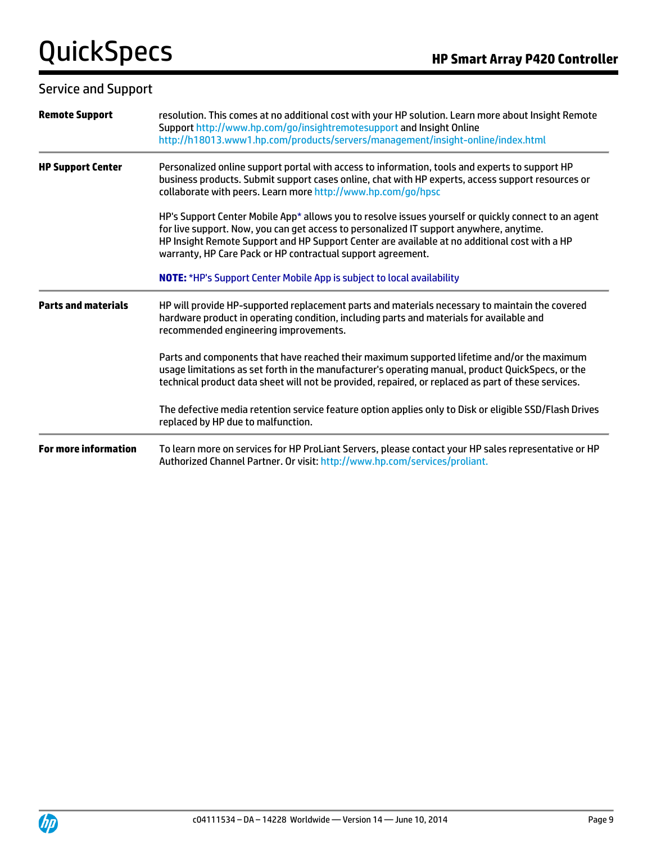Service and Support

| <b>Remote Support</b>       | resolution. This comes at no additional cost with your HP solution. Learn more about Insight Remote<br>Support http://www.hp.com/go/insightremotesupport and Insight Online<br>http://h18013.www1.hp.com/products/servers/management/insight-online/index.html                                                                                                  |
|-----------------------------|-----------------------------------------------------------------------------------------------------------------------------------------------------------------------------------------------------------------------------------------------------------------------------------------------------------------------------------------------------------------|
| <b>HP Support Center</b>    | Personalized online support portal with access to information, tools and experts to support HP<br>business products. Submit support cases online, chat with HP experts, access support resources or<br>collaborate with peers. Learn more http://www.hp.com/go/hpsc                                                                                             |
|                             | HP's Support Center Mobile App* allows you to resolve issues yourself or quickly connect to an agent<br>for live support. Now, you can get access to personalized IT support anywhere, anytime.<br>HP Insight Remote Support and HP Support Center are available at no additional cost with a HP<br>warranty, HP Care Pack or HP contractual support agreement. |
|                             | <b>NOTE:</b> *HP's Support Center Mobile App is subject to local availability                                                                                                                                                                                                                                                                                   |
| <b>Parts and materials</b>  | HP will provide HP-supported replacement parts and materials necessary to maintain the covered<br>hardware product in operating condition, including parts and materials for available and<br>recommended engineering improvements.                                                                                                                             |
|                             | Parts and components that have reached their maximum supported lifetime and/or the maximum<br>usage limitations as set forth in the manufacturer's operating manual, product QuickSpecs, or the<br>technical product data sheet will not be provided, repaired, or replaced as part of these services.                                                          |
|                             | The defective media retention service feature option applies only to Disk or eligible SSD/Flash Drives<br>replaced by HP due to malfunction.                                                                                                                                                                                                                    |
| <b>For more information</b> | To learn more on services for HP ProLiant Servers, please contact your HP sales representative or HP<br>Authorized Channel Partner. Or visit: http://www.hp.com/services/proliant.                                                                                                                                                                              |



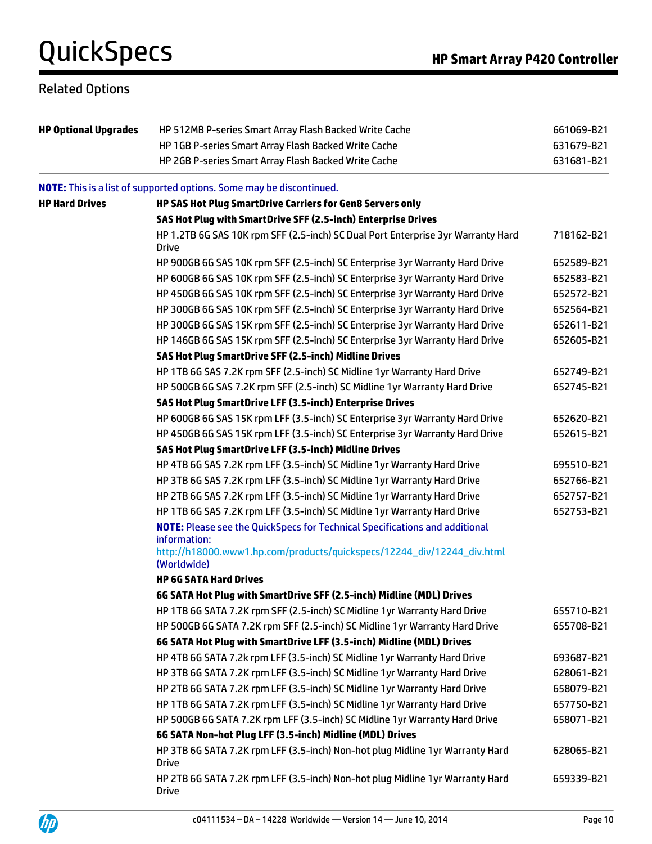### Related Options

| <b>HP Optional Upgrades</b> | HP 512MB P-series Smart Array Flash Backed Write Cache                                                                                                                       |            |
|-----------------------------|------------------------------------------------------------------------------------------------------------------------------------------------------------------------------|------------|
|                             | HP 1GB P-series Smart Array Flash Backed Write Cache                                                                                                                         | 631679-B21 |
|                             | HP 2GB P-series Smart Array Flash Backed Write Cache                                                                                                                         | 631681-B21 |
|                             | <b>NOTE:</b> This is a list of supported options. Some may be discontinued.                                                                                                  |            |
| <b>HP Hard Drives</b>       | HP SAS Hot Plug SmartDrive Carriers for Gen8 Servers only                                                                                                                    |            |
|                             | SAS Hot Plug with SmartDrive SFF (2.5-inch) Enterprise Drives                                                                                                                |            |
|                             | HP 1.2TB 6G SAS 10K rpm SFF (2.5-inch) SC Dual Port Enterprise 3yr Warranty Hard<br><b>Drive</b>                                                                             | 718162-B21 |
|                             | HP 900GB 6G SAS 10K rpm SFF (2.5-inch) SC Enterprise 3yr Warranty Hard Drive                                                                                                 | 652589-B21 |
|                             | HP 600GB 6G SAS 10K rpm SFF (2.5-inch) SC Enterprise 3yr Warranty Hard Drive                                                                                                 | 652583-B21 |
|                             | HP 450GB 6G SAS 10K rpm SFF (2.5-inch) SC Enterprise 3yr Warranty Hard Drive                                                                                                 | 652572-B21 |
|                             | HP 300GB 6G SAS 10K rpm SFF (2.5-inch) SC Enterprise 3yr Warranty Hard Drive                                                                                                 | 652564-B21 |
|                             | HP 300GB 6G SAS 15K rpm SFF (2.5-inch) SC Enterprise 3yr Warranty Hard Drive                                                                                                 | 652611-B21 |
|                             | HP 146GB 6G SAS 15K rpm SFF (2.5-inch) SC Enterprise 3yr Warranty Hard Drive                                                                                                 | 652605-B21 |
|                             | SAS Hot Plug SmartDrive SFF (2.5-inch) Midline Drives                                                                                                                        |            |
|                             | HP 1TB 6G SAS 7.2K rpm SFF (2.5-inch) SC Midline 1yr Warranty Hard Drive                                                                                                     | 652749-B21 |
|                             | HP 500GB 6G SAS 7.2K rpm SFF (2.5-inch) SC Midline 1yr Warranty Hard Drive                                                                                                   | 652745-B21 |
|                             | SAS Hot Plug SmartDrive LFF (3.5-inch) Enterprise Drives                                                                                                                     |            |
|                             | HP 600GB 6G SAS 15K rpm LFF (3.5-inch) SC Enterprise 3yr Warranty Hard Drive                                                                                                 | 652620-B21 |
|                             | HP 450GB 6G SAS 15K rpm LFF (3.5-inch) SC Enterprise 3yr Warranty Hard Drive                                                                                                 | 652615-B21 |
|                             | SAS Hot Plug SmartDrive LFF (3.5-inch) Midline Drives                                                                                                                        |            |
|                             | HP 4TB 6G SAS 7.2K rpm LFF (3.5-inch) SC Midline 1yr Warranty Hard Drive                                                                                                     | 695510-B21 |
|                             | HP 3TB 6G SAS 7.2K rpm LFF (3.5-inch) SC Midline 1yr Warranty Hard Drive                                                                                                     | 652766-B21 |
|                             | HP 2TB 6G SAS 7.2K rpm LFF (3.5-inch) SC Midline 1yr Warranty Hard Drive                                                                                                     | 652757-B21 |
|                             | HP 1TB 6G SAS 7.2K rpm LFF (3.5-inch) SC Midline 1yr Warranty Hard Drive                                                                                                     | 652753-B21 |
|                             | <b>NOTE:</b> Please see the QuickSpecs for Technical Specifications and additional<br>information:<br>http://h18000.www1.hp.com/products/quickspecs/12244_div/12244_div.html |            |
|                             | (Worldwide)                                                                                                                                                                  |            |
|                             | <b>HP 6G SATA Hard Drives</b>                                                                                                                                                |            |
|                             | 6G SATA Hot Plug with SmartDrive SFF (2.5-inch) Midline (MDL) Drives                                                                                                         |            |
|                             | HP 1TB 6G SATA 7.2K rpm SFF (2.5-inch) SC Midline 1yr Warranty Hard Drive                                                                                                    | 655710-B21 |
|                             | HP 500GB 6G SATA 7.2K rpm SFF (2.5-inch) SC Midline 1yr Warranty Hard Drive                                                                                                  | 655708-B21 |
|                             | 6G SATA Hot Plug with SmartDrive LFF (3.5-inch) Midline (MDL) Drives                                                                                                         |            |
|                             | HP 4TB 6G SATA 7.2k rpm LFF (3.5-inch) SC Midline 1yr Warranty Hard Drive                                                                                                    | 693687-B21 |
|                             | HP 3TB 6G SATA 7.2K rpm LFF (3.5-inch) SC Midline 1 yr Warranty Hard Drive                                                                                                   | 628061-B21 |
|                             | HP 2TB 6G SATA 7.2K rpm LFF (3.5-inch) SC Midline 1yr Warranty Hard Drive                                                                                                    | 658079-B21 |
|                             | HP 1TB 6G SATA 7.2K rpm LFF (3.5-inch) SC Midline 1yr Warranty Hard Drive                                                                                                    | 657750-B21 |
|                             | HP 500GB 6G SATA 7.2K rpm LFF (3.5-inch) SC Midline 1yr Warranty Hard Drive                                                                                                  | 658071-B21 |
|                             | 6G SATA Non-hot Plug LFF (3.5-inch) Midline (MDL) Drives                                                                                                                     |            |
|                             | HP 3TB 6G SATA 7.2K rpm LFF (3.5-inch) Non-hot plug Midline 1yr Warranty Hard<br><b>Drive</b>                                                                                | 628065-B21 |
|                             | HP 2TB 6G SATA 7.2K rpm LFF (3.5-inch) Non-hot plug Midline 1yr Warranty Hard<br><b>Drive</b>                                                                                | 659339-B21 |

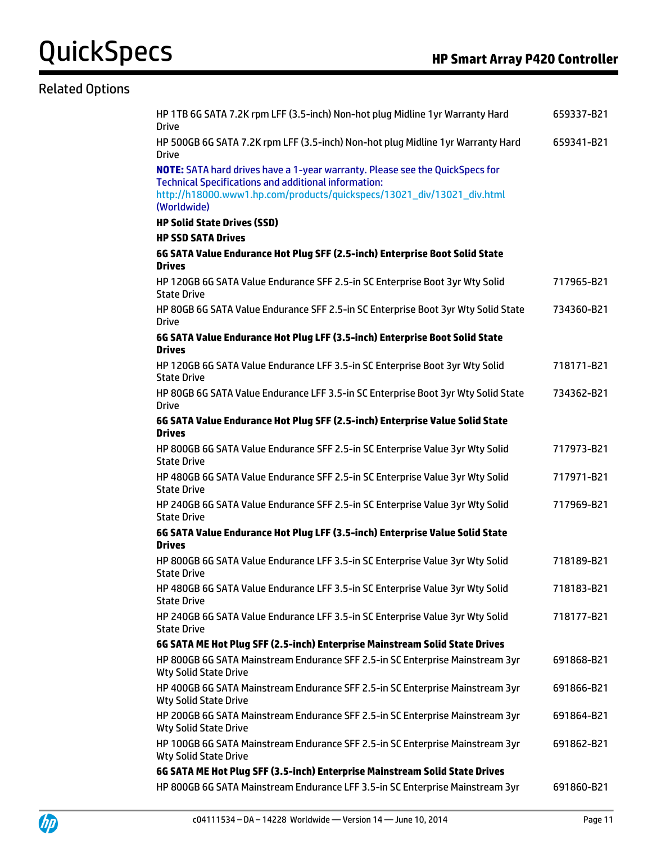#### Related Options

| HP 1TB 6G SATA 7.2K rpm LFF (3.5-inch) Non-hot plug Midline 1yr Warranty Hard<br><b>Drive</b>                                                                                                                                               | 659337-B21 |
|---------------------------------------------------------------------------------------------------------------------------------------------------------------------------------------------------------------------------------------------|------------|
| HP 500GB 6G SATA 7.2K rpm LFF (3.5-inch) Non-hot plug Midline 1yr Warranty Hard<br><b>Drive</b>                                                                                                                                             | 659341-B21 |
| <b>NOTE:</b> SATA hard drives have a 1-year warranty. Please see the QuickSpecs for<br><b>Technical Specifications and additional information:</b><br>http://h18000.www1.hp.com/products/quickspecs/13021_div/13021_div.html<br>(Worldwide) |            |
| <b>HP Solid State Drives (SSD)</b>                                                                                                                                                                                                          |            |
| <b>HP SSD SATA Drives</b>                                                                                                                                                                                                                   |            |
| 6G SATA Value Endurance Hot Plug SFF (2.5-inch) Enterprise Boot Solid State<br><b>Drives</b>                                                                                                                                                |            |
| HP 120GB 6G SATA Value Endurance SFF 2.5-in SC Enterprise Boot 3yr Wty Solid<br><b>State Drive</b>                                                                                                                                          | 717965-B21 |
| HP 80GB 6G SATA Value Endurance SFF 2.5-in SC Enterprise Boot 3yr Wty Solid State<br><b>Drive</b>                                                                                                                                           | 734360-B21 |
| 6G SATA Value Endurance Hot Plug LFF (3.5-inch) Enterprise Boot Solid State<br><b>Drives</b>                                                                                                                                                |            |
| HP 120GB 6G SATA Value Endurance LFF 3.5-in SC Enterprise Boot 3yr Wty Solid<br><b>State Drive</b>                                                                                                                                          | 718171-B21 |
| HP 80GB 6G SATA Value Endurance LFF 3.5-in SC Enterprise Boot 3yr Wty Solid State<br><b>Drive</b>                                                                                                                                           | 734362-B21 |
| 6G SATA Value Endurance Hot Plug SFF (2.5-inch) Enterprise Value Solid State<br><b>Drives</b>                                                                                                                                               |            |
| HP 800GB 6G SATA Value Endurance SFF 2.5-in SC Enterprise Value 3yr Wty Solid<br><b>State Drive</b>                                                                                                                                         | 717973-B21 |
| HP 480GB 6G SATA Value Endurance SFF 2.5-in SC Enterprise Value 3yr Wty Solid<br><b>State Drive</b>                                                                                                                                         | 717971-B21 |
| HP 240GB 6G SATA Value Endurance SFF 2.5-in SC Enterprise Value 3yr Wty Solid<br><b>State Drive</b>                                                                                                                                         | 717969-B21 |
| 6G SATA Value Endurance Hot Plug LFF (3.5-inch) Enterprise Value Solid State                                                                                                                                                                |            |
| <b>Drives</b><br>HP 800GB 6G SATA Value Endurance LFF 3.5-in SC Enterprise Value 3yr Wty Solid                                                                                                                                              | 718189-B21 |
| <b>State Drive</b>                                                                                                                                                                                                                          |            |
| HP 480GB 6G SATA Value Endurance LFF 3.5-in SC Enterprise Value 3yr Wty Solid<br><b>State Drive</b>                                                                                                                                         | 718183-B21 |
| HP 240GB 6G SATA Value Endurance LFF 3.5-in SC Enterprise Value 3yr Wty Solid<br><b>State Drive</b>                                                                                                                                         | 718177-B21 |
| 6G SATA ME Hot Plug SFF (2.5-inch) Enterprise Mainstream Solid State Drives                                                                                                                                                                 |            |
| HP 800GB 6G SATA Mainstream Endurance SFF 2.5-in SC Enterprise Mainstream 3yr<br><b>Wty Solid State Drive</b>                                                                                                                               | 691868-B21 |
| HP 400GB 6G SATA Mainstream Endurance SFF 2.5-in SC Enterprise Mainstream 3yr<br><b>Wty Solid State Drive</b>                                                                                                                               | 691866-B21 |
| HP 200GB 6G SATA Mainstream Endurance SFF 2.5-in SC Enterprise Mainstream 3yr<br><b>Wty Solid State Drive</b>                                                                                                                               | 691864-B21 |
| HP 100GB 6G SATA Mainstream Endurance SFF 2.5-in SC Enterprise Mainstream 3yr<br><b>Wty Solid State Drive</b>                                                                                                                               | 691862-B21 |
| 6G SATA ME Hot Plug SFF (3.5-inch) Enterprise Mainstream Solid State Drives                                                                                                                                                                 |            |
| HP 800GB 6G SATA Mainstream Endurance LFF 3.5-in SC Enterprise Mainstream 3yr                                                                                                                                                               | 691860-B21 |

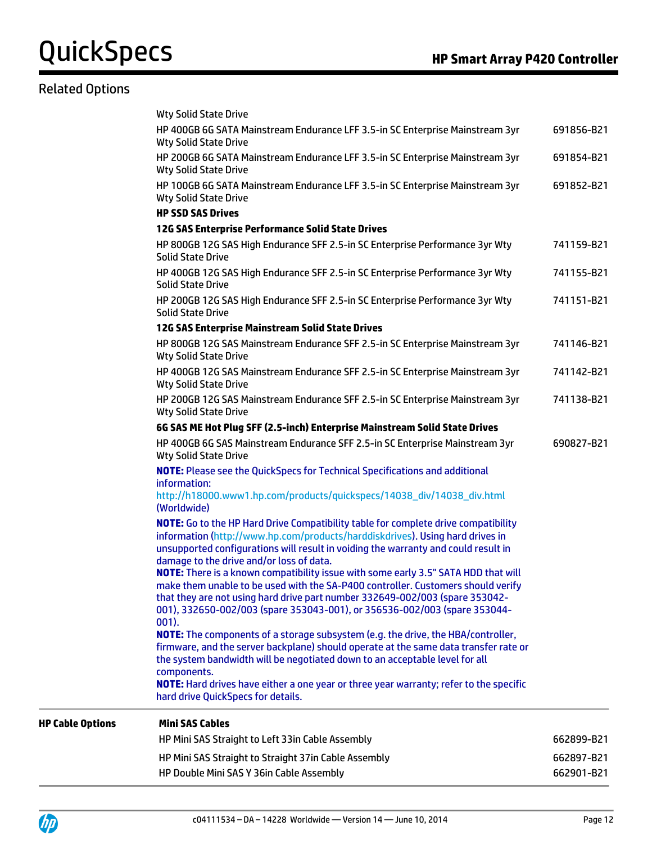### Related Options

|                         | HP Mini SAS Straight to Straight 37in Cable Assembly<br>HP Double Mini SAS Y 36in Cable Assembly                                                                                                                                                                                                                                                       | 662897-B21<br>662901-B21 |
|-------------------------|--------------------------------------------------------------------------------------------------------------------------------------------------------------------------------------------------------------------------------------------------------------------------------------------------------------------------------------------------------|--------------------------|
|                         | HP Mini SAS Straight to Left 33in Cable Assembly                                                                                                                                                                                                                                                                                                       | 662899-B21               |
| <b>HP Cable Options</b> | <b>Mini SAS Cables</b>                                                                                                                                                                                                                                                                                                                                 |                          |
|                         | components.<br>NOTE: Hard drives have either a one year or three year warranty; refer to the specific<br>hard drive QuickSpecs for details.                                                                                                                                                                                                            |                          |
|                         | <b>NOTE:</b> The components of a storage subsystem (e.g. the drive, the HBA/controller,<br>firmware, and the server backplane) should operate at the same data transfer rate or<br>the system bandwidth will be negotiated down to an acceptable level for all                                                                                         |                          |
|                         | <b>NOTE:</b> There is a known compatibility issue with some early 3.5" SATA HDD that will<br>make them unable to be used with the SA-P400 controller. Customers should verify<br>that they are not using hard drive part number 332649-002/003 (spare 353042-<br>001), 332650-002/003 (spare 353043-001), or 356536-002/003 (spare 353044-<br>$001$ ). |                          |
|                         | <b>NOTE:</b> Go to the HP Hard Drive Compatibility table for complete drive compatibility<br>information (http://www.hp.com/products/harddiskdrives). Using hard drives in<br>unsupported configurations will result in voiding the warranty and could result in<br>damage to the drive and/or loss of data.                                           |                          |
|                         | <b>NOTE:</b> Please see the QuickSpecs for Technical Specifications and additional<br>information:<br>http://h18000.www1.hp.com/products/quickspecs/14038_div/14038_div.html<br>(Worldwide)                                                                                                                                                            |                          |
|                         | HP 400GB 6G SAS Mainstream Endurance SFF 2.5-in SC Enterprise Mainstream 3yr<br><b>Wty Solid State Drive</b>                                                                                                                                                                                                                                           | 690827-B21               |
|                         | <b>Wty Solid State Drive</b><br>6G SAS ME Hot Plug SFF (2.5-inch) Enterprise Mainstream Solid State Drives                                                                                                                                                                                                                                             |                          |
|                         | <b>Wty Solid State Drive</b><br>HP 200GB 12G SAS Mainstream Endurance SFF 2.5-in SC Enterprise Mainstream 3yr                                                                                                                                                                                                                                          | 741138-B21               |
|                         | HP 800GB 12G SAS Mainstream Endurance SFF 2.5-in SC Enterprise Mainstream 3yr<br><b>Wty Solid State Drive</b><br>HP 400GB 12G SAS Mainstream Endurance SFF 2.5-in SC Enterprise Mainstream 3yr                                                                                                                                                         | 741146-B21<br>741142-B21 |
|                         | 12G SAS Enterprise Mainstream Solid State Drives                                                                                                                                                                                                                                                                                                       |                          |
|                         | HP 200GB 12G SAS High Endurance SFF 2.5-in SC Enterprise Performance 3yr Wty<br><b>Solid State Drive</b>                                                                                                                                                                                                                                               | 741151-B21               |
|                         | HP 400GB 12G SAS High Endurance SFF 2.5-in SC Enterprise Performance 3yr Wty<br><b>Solid State Drive</b>                                                                                                                                                                                                                                               | 741155-B21               |
|                         | HP 800GB 12G SAS High Endurance SFF 2.5-in SC Enterprise Performance 3yr Wty<br><b>Solid State Drive</b>                                                                                                                                                                                                                                               | 741159-B21               |
|                         | <b>HP SSD SAS Drives</b><br>12G SAS Enterprise Performance Solid State Drives                                                                                                                                                                                                                                                                          |                          |
|                         | HP 100GB 6G SATA Mainstream Endurance LFF 3.5-in SC Enterprise Mainstream 3yr<br><b>Wty Solid State Drive</b>                                                                                                                                                                                                                                          | 691852-B21               |
|                         | HP 200GB 6G SATA Mainstream Endurance LFF 3.5-in SC Enterprise Mainstream 3yr<br><b>Wty Solid State Drive</b>                                                                                                                                                                                                                                          | 691854-B21               |
|                         | <b>Wty Solid State Drive</b><br>HP 400GB 6G SATA Mainstream Endurance LFF 3.5-in SC Enterprise Mainstream 3yr<br><b>Wty Solid State Drive</b>                                                                                                                                                                                                          | 691856-B21               |
|                         |                                                                                                                                                                                                                                                                                                                                                        |                          |

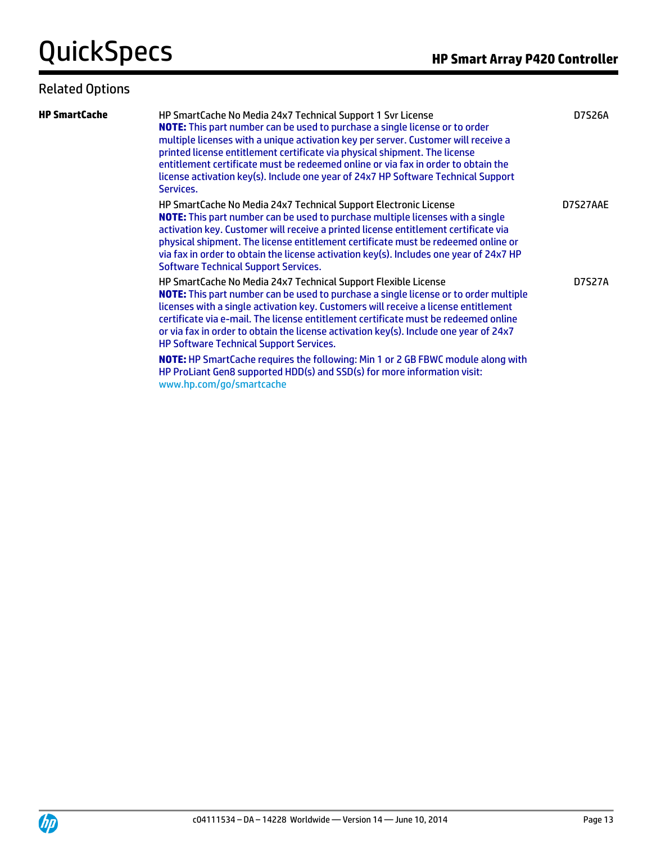#### Related Options

| <b>HP SmartCache</b> | HP SmartCache No Media 24x7 Technical Support 1 Svr License<br><b>NOTE:</b> This part number can be used to purchase a single license or to order<br>multiple licenses with a unique activation key per server. Customer will receive a<br>printed license entitlement certificate via physical shipment. The license<br>entitlement certificate must be redeemed online or via fax in order to obtain the<br>license activation key(s). Include one year of 24x7 HP Software Technical Support<br>Services. | D7S26A   |
|----------------------|--------------------------------------------------------------------------------------------------------------------------------------------------------------------------------------------------------------------------------------------------------------------------------------------------------------------------------------------------------------------------------------------------------------------------------------------------------------------------------------------------------------|----------|
|                      | HP SmartCache No Media 24x7 Technical Support Electronic License<br><b>NOTE:</b> This part number can be used to purchase multiple licenses with a single<br>activation key. Customer will receive a printed license entitlement certificate via<br>physical shipment. The license entitlement certificate must be redeemed online or<br>via fax in order to obtain the license activation key(s). Includes one year of 24x7 HP<br><b>Software Technical Support Services.</b>                               | D7S27AAE |
|                      | HP SmartCache No Media 24x7 Technical Support Flexible License<br>NOTE: This part number can be used to purchase a single license or to order multiple<br>licenses with a single activation key. Customers will receive a license entitlement<br>certificate via e-mail. The license entitlement certificate must be redeemed online<br>or via fax in order to obtain the license activation key(s). Include one year of 24x7<br><b>HP Software Technical Support Services.</b>                              | D7S27A   |
|                      | <b>NOTE:</b> HP SmartCache requires the following: Min 1 or 2 GB FBWC module along with<br>HP ProLiant Gen8 supported HDD(s) and SSD(s) for more information visit:                                                                                                                                                                                                                                                                                                                                          |          |

www.hp.com/go/smartcache

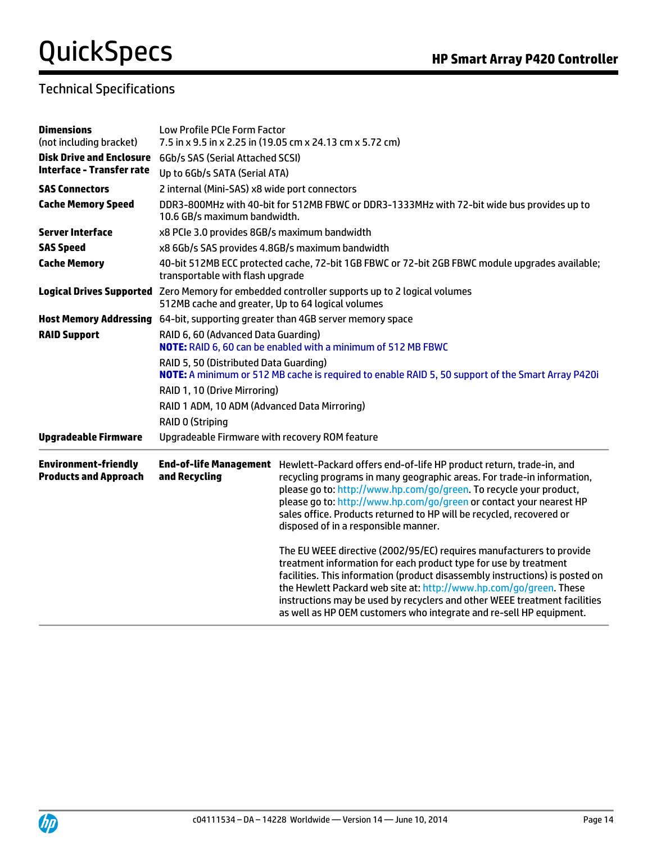### Technical Specifications

| <b>Dimensions</b><br>(not including bracket)                | Low Profile PCIe Form Factor<br>7.5 in x 9.5 in x 2.25 in (19.05 cm x 24.13 cm x 5.72 cm)                                                          |                                                                                                                                                                                                                                                                                                                                                                                                                                                    |  |
|-------------------------------------------------------------|----------------------------------------------------------------------------------------------------------------------------------------------------|----------------------------------------------------------------------------------------------------------------------------------------------------------------------------------------------------------------------------------------------------------------------------------------------------------------------------------------------------------------------------------------------------------------------------------------------------|--|
| <b>Disk Drive and Enclosure</b>                             | 6Gb/s SAS (Serial Attached SCSI)                                                                                                                   |                                                                                                                                                                                                                                                                                                                                                                                                                                                    |  |
| <b>Interface - Transfer rate</b>                            | Up to 6Gb/s SATA (Serial ATA)                                                                                                                      |                                                                                                                                                                                                                                                                                                                                                                                                                                                    |  |
| <b>SAS Connectors</b>                                       | 2 internal (Mini-SAS) x8 wide port connectors                                                                                                      |                                                                                                                                                                                                                                                                                                                                                                                                                                                    |  |
| <b>Cache Memory Speed</b>                                   | DDR3-800MHz with 40-bit for 512MB FBWC or DDR3-1333MHz with 72-bit wide bus provides up to<br>10.6 GB/s maximum bandwidth.                         |                                                                                                                                                                                                                                                                                                                                                                                                                                                    |  |
| <b>Server Interface</b>                                     | x8 PCIe 3.0 provides 8GB/s maximum bandwidth                                                                                                       |                                                                                                                                                                                                                                                                                                                                                                                                                                                    |  |
| <b>SAS Speed</b>                                            | x8 6Gb/s SAS provides 4.8GB/s maximum bandwidth                                                                                                    |                                                                                                                                                                                                                                                                                                                                                                                                                                                    |  |
| <b>Cache Memory</b>                                         | 40-bit 512MB ECC protected cache, 72-bit 1GB FBWC or 72-bit 2GB FBWC module upgrades available;<br>transportable with flash upgrade                |                                                                                                                                                                                                                                                                                                                                                                                                                                                    |  |
|                                                             | Logical Drives Supported Zero Memory for embedded controller supports up to 2 logical volumes<br>512MB cache and greater, Up to 64 logical volumes |                                                                                                                                                                                                                                                                                                                                                                                                                                                    |  |
|                                                             | Host Memory Addressing 64-bit, supporting greater than 4GB server memory space                                                                     |                                                                                                                                                                                                                                                                                                                                                                                                                                                    |  |
| <b>RAID Support</b>                                         | RAID 6, 60 (Advanced Data Guarding)<br>NOTE: RAID 6, 60 can be enabled with a minimum of 512 MB FBWC                                               |                                                                                                                                                                                                                                                                                                                                                                                                                                                    |  |
|                                                             | RAID 5, 50 (Distributed Data Guarding)<br>NOTE: A minimum or 512 MB cache is required to enable RAID 5, 50 support of the Smart Array P420i        |                                                                                                                                                                                                                                                                                                                                                                                                                                                    |  |
|                                                             | RAID 1, 10 (Drive Mirroring)                                                                                                                       |                                                                                                                                                                                                                                                                                                                                                                                                                                                    |  |
|                                                             | RAID 1 ADM, 10 ADM (Advanced Data Mirroring)                                                                                                       |                                                                                                                                                                                                                                                                                                                                                                                                                                                    |  |
|                                                             | <b>RAID 0 (Striping</b>                                                                                                                            |                                                                                                                                                                                                                                                                                                                                                                                                                                                    |  |
| <b>Upgradeable Firmware</b>                                 | Upgradeable Firmware with recovery ROM feature                                                                                                     |                                                                                                                                                                                                                                                                                                                                                                                                                                                    |  |
| <b>Environment-friendly</b><br><b>Products and Approach</b> | and Recycling                                                                                                                                      | End-of-life Management Hewlett-Packard offers end-of-life HP product return, trade-in, and<br>recycling programs in many geographic areas. For trade-in information,<br>please go to: http://www.hp.com/go/green. To recycle your product,<br>please go to: http://www.hp.com/go/green or contact your nearest HP<br>sales office. Products returned to HP will be recycled, recovered or<br>disposed of in a responsible manner.                  |  |
|                                                             |                                                                                                                                                    | The EU WEEE directive (2002/95/EC) requires manufacturers to provide<br>treatment information for each product type for use by treatment<br>facilities. This information (product disassembly instructions) is posted on<br>the Hewlett Packard web site at: http://www.hp.com/go/green. These<br>instructions may be used by recyclers and other WEEE treatment facilities<br>as well as HP OEM customers who integrate and re-sell HP equipment. |  |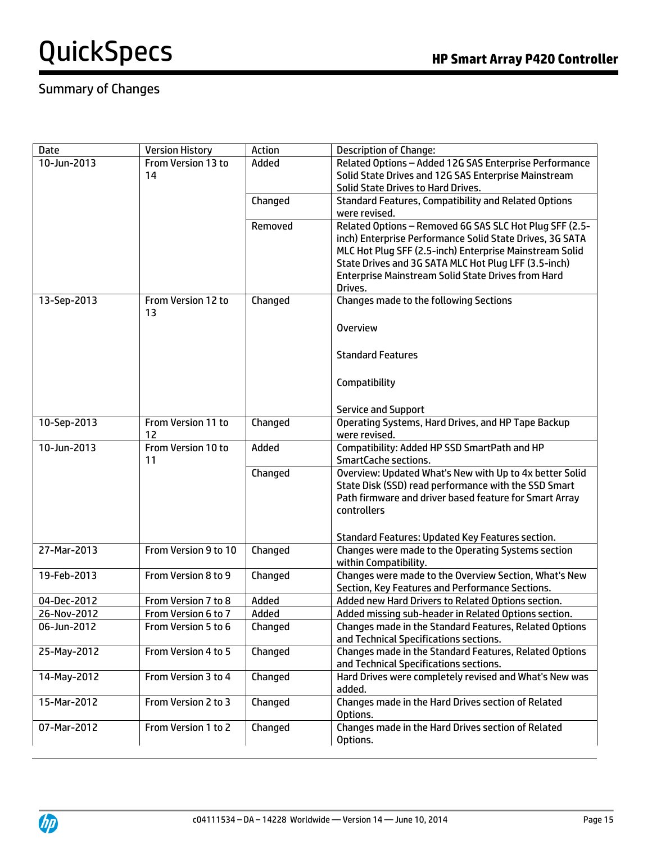### Summary of Changes

| <b>Date</b> | <b>Version History</b> | Action  | <b>Description of Change:</b>                                                    |
|-------------|------------------------|---------|----------------------------------------------------------------------------------|
| 10-Jun-2013 | From Version 13 to     | Added   | Related Options - Added 12G SAS Enterprise Performance                           |
|             | 14                     |         | Solid State Drives and 12G SAS Enterprise Mainstream                             |
|             |                        |         | Solid State Drives to Hard Drives.                                               |
|             |                        | Changed | <b>Standard Features, Compatibility and Related Options</b>                      |
|             |                        |         | were revised.                                                                    |
|             |                        | Removed | Related Options - Removed 6G SAS SLC Hot Plug SFF (2.5-                          |
|             |                        |         | inch) Enterprise Performance Solid State Drives, 3G SATA                         |
|             |                        |         | MLC Hot Plug SFF (2.5-inch) Enterprise Mainstream Solid                          |
|             |                        |         | State Drives and 3G SATA MLC Hot Plug LFF (3.5-inch)                             |
|             |                        |         | <b>Enterprise Mainstream Solid State Drives from Hard</b>                        |
|             |                        |         | Drives.                                                                          |
| 13-Sep-2013 | From Version 12 to     | Changed | <b>Changes made to the following Sections</b>                                    |
|             | 13                     |         |                                                                                  |
|             |                        |         | <b>Overview</b>                                                                  |
|             |                        |         |                                                                                  |
|             |                        |         | <b>Standard Features</b>                                                         |
|             |                        |         |                                                                                  |
|             |                        |         | Compatibility                                                                    |
|             |                        |         |                                                                                  |
|             |                        |         |                                                                                  |
| 10-Sep-2013 | From Version 11 to     | Changed | <b>Service and Support</b><br>Operating Systems, Hard Drives, and HP Tape Backup |
|             | 12                     |         | were revised.                                                                    |
| 10-Jun-2013 | From Version 10 to     | Added   | Compatibility: Added HP SSD SmartPath and HP                                     |
|             | 11                     |         | SmartCache sections.                                                             |
|             |                        | Changed | Overview: Updated What's New with Up to 4x better Solid                          |
|             |                        |         | State Disk (SSD) read performance with the SSD Smart                             |
|             |                        |         | Path firmware and driver based feature for Smart Array                           |
|             |                        |         | controllers                                                                      |
|             |                        |         |                                                                                  |
|             |                        |         | Standard Features: Updated Key Features section.                                 |
| 27-Mar-2013 | From Version 9 to 10   | Changed | Changes were made to the Operating Systems section                               |
|             |                        |         | within Compatibility.                                                            |
| 19-Feb-2013 | From Version 8 to 9    | Changed | Changes were made to the Overview Section, What's New                            |
|             |                        |         | Section, Key Features and Performance Sections.                                  |
| 04-Dec-2012 | From Version 7 to 8    | Added   | Added new Hard Drivers to Related Options section.                               |
| 26-Nov-2012 | From Version 6 to 7    | Added   | Added missing sub-header in Related Options section.                             |
| 06-Jun-2012 | From Version 5 to 6    | Changed | Changes made in the Standard Features, Related Options                           |
|             |                        |         | and Technical Specifications sections.                                           |
| 25-May-2012 | From Version 4 to 5    | Changed | Changes made in the Standard Features, Related Options                           |
|             |                        |         | and Technical Specifications sections.                                           |
| 14-May-2012 | From Version 3 to 4    | Changed | Hard Drives were completely revised and What's New was                           |
|             |                        |         | added.                                                                           |
| 15-Mar-2012 | From Version 2 to 3    | Changed | Changes made in the Hard Drives section of Related                               |
|             |                        |         | Options.                                                                         |
| 07-Mar-2012 | From Version 1 to 2    | Changed | Changes made in the Hard Drives section of Related                               |
|             |                        |         | Options.                                                                         |
|             |                        |         |                                                                                  |